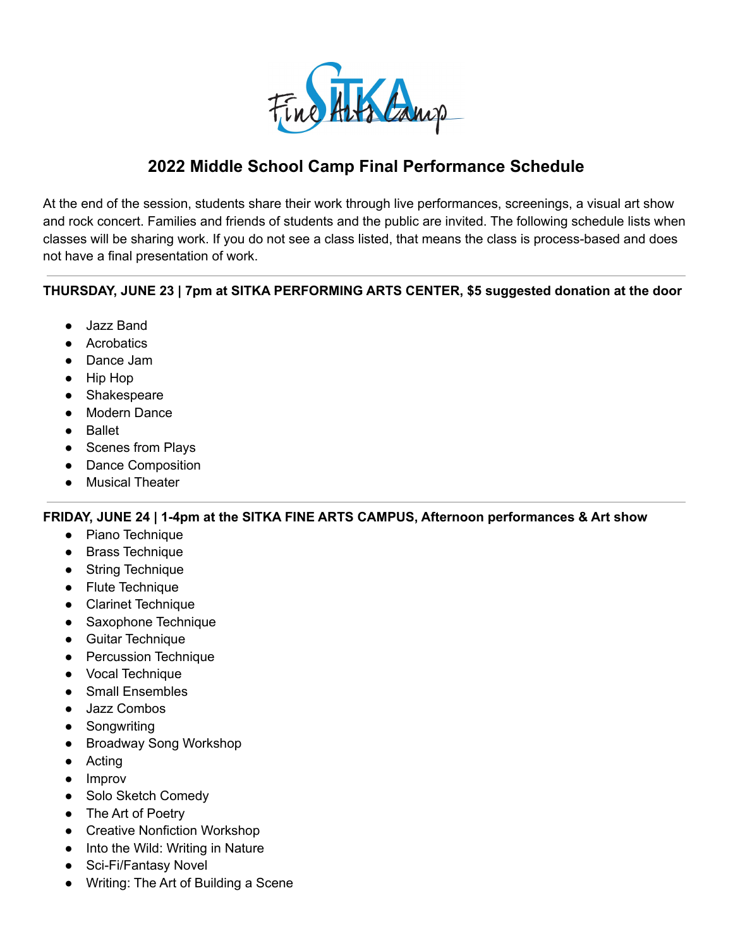

# **2022 Middle School Camp Final Performance Schedule**

At the end of the session, students share their work through live performances, screenings, a visual art show and rock concert. Families and friends of students and the public are invited. The following schedule lists when classes will be sharing work. If you do not see a class listed, that means the class is process-based and does not have a final presentation of work.

## **THURSDAY, JUNE 23 | 7pm at SITKA PERFORMING ARTS CENTER, \$5 suggested donation at the door**

- Jazz Band
- Acrobatics
- Dance Jam
- Hip Hop
- Shakespeare
- Modern Dance
- Ballet
- Scenes from Plays
- Dance Composition
- Musical Theater

## **FRIDAY, JUNE 24 | 1-4pm at the SITKA FINE ARTS CAMPUS, Afternoon performances & Art show**

- Piano Technique
- Brass Technique
- String Technique
- Flute Technique
- Clarinet Technique
- Saxophone Technique
- Guitar Technique
- Percussion Technique
- Vocal Technique
- Small Ensembles
- Jazz Combos
- Songwriting
- Broadway Song Workshop
- Acting
- Improv
- Solo Sketch Comedy
- The Art of Poetry
- Creative Nonfiction Workshop
- Into the Wild: Writing in Nature
- Sci-Fi/Fantasy Novel
- Writing: The Art of Building a Scene